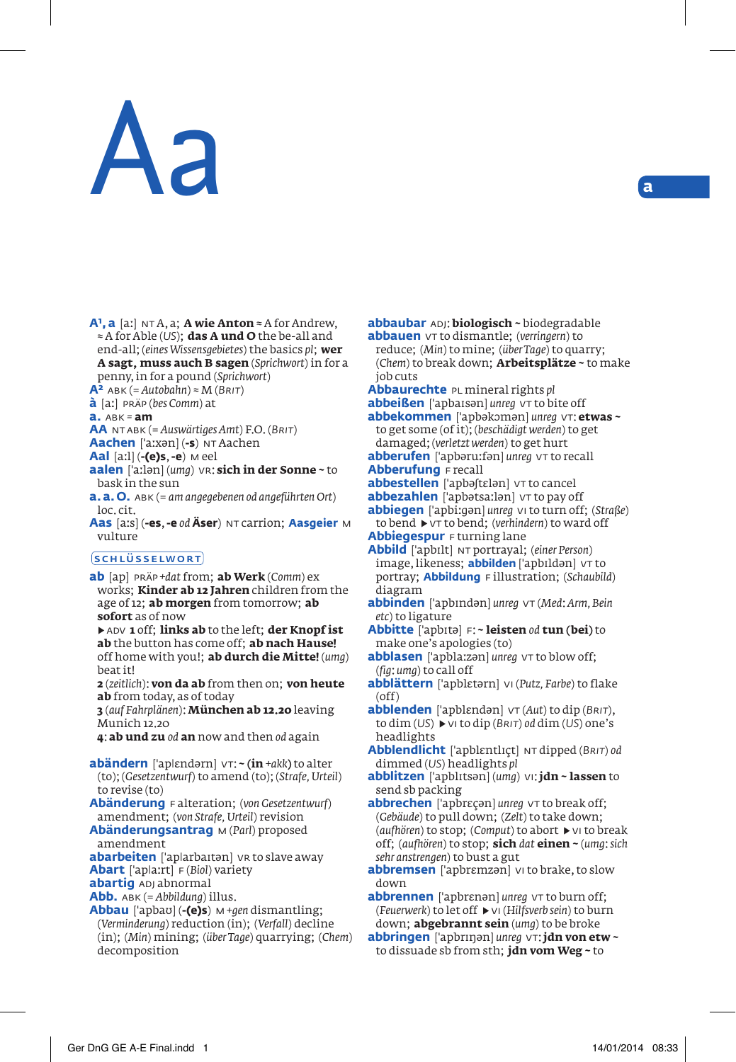# Aa **<sup>a</sup>**

**A<sup>1</sup>, a** [aː] NT A, a; **A wie Anton** ≈ A for Andrew, ≈ A for Able (*US*); **das A und O** the be-all and end-all; (*eines Wissensgebietes*) the basics *pl*; **wer A sagt, muss auch B sagen** (*Sprichwort*) in for a penny, in for a pound (*Sprichwort*)

 $A^2$  ABK (= *Autobahn*)  $\approx$  *M* (*BRIT*)

**à** [a-] präp (*bes Comm*) at

**a.** abk *=* **am**

**AA** nt abk (= *Auswärtiges Amt*) F.O. (*Brit*)

**Aachen** ['a:xən] (-s) NT Aachen

- **Aal** [a-l] (**-(e)s**, **-e**) m eel
- aalen ['aːlən] (*umg*) vr: sich in der Sonne ~ to bask in the sun
- **a. a. O.** abk (= *am angegebenen od angeführten Ort*) loc. cit.
- **Aas** [a-s] (**-es**, **-e** *od* **Äser**) nt carrion; **Aasgeier** m vulture

### **SCHLÜSSELWORT**

**ab** [ap] präp *+dat* from; **ab Werk** (*Comm*) ex works; **Kinder ab 12 Jahren** children from the age of 12; **ab morgen** from tomorrow; **ab sofort** as of now

▶ adv **1** off; **links ab** to the left; **der Knopf ist ab** the button has come off; **ab nach Hause!** off home with you!; **ab durch die Mitte!** (*umg*) beat it!

**2** (*zeitlich*): **von da ab** from then on; **von heute ab** from today, as of today

**3** (*auf Fahrplänen*): **München ab 12.20** leaving Munich 12.20

**4**: **ab und zu** *od* **an** now and then *od* again

**abändern** ['ap|ɛndərn] vT: ~ (in +akk) to alter (to); (*Gesetzentwurf*) to amend (to); (*Strafe, Urteil*) to revise (to)

**Abänderung** f alteration; (*von Gesetzentwurf*) amendment; (*von Strafe, Urteil*) revision

**Abänderungsantrag** m (*Parl*) proposed amendment

**abarbeiten** ['aplarbaitan] vr to slave away **Abart** ['apla:rt] F (*Biol*) variety

**abartig** ADJ abnormal

**Abb.** abk (= *Abbildung*) illus.

**Abbau** [apbaυ] (**-(e)s**) m *+gen* dismantling; (*Verminderung*) reduction (in); (*Verfall*) decline (in); (*Min*) mining; (*über Tage*) quarrying; (*Chem*) decomposition

**abbaubar** adj: **biologisch ~** biodegradable **abbauen**  $v\tau$  to dismantle; (*verringern*) to

reduce; (*Min*) to mine; (*über Tage*) to quarry; (*Chem*) to break down; **Arbeitsplätze ~** to make job cuts

**Abbaurechte** pl mineral rights *pl*

**abbeißen** ['apbaisən] *unrea* VT to bite off **abbekommen** [apbəkɔmən] *unreg* vt: **etwas ~** to get some (of it); (*beschädigt werden*) to get

damaged; (*verletzt werden*) to get hurt abberufen ['apbəru:fən] unreg vt to recall **Abberufung** F recall

- **abbestellen** ['apbə[tɛlən] vt to cancel
- abbezahlen ['apbətsaːlən] vt to pay off

**abbiegen** [apbi-ən] *unreg* vi to turn off; (*Straße*) to bend ▶ vt to bend; (*verhindern*) to ward off

**Abbiegespur** F turning lane

**Abbild** [apbilt] nt portrayal; (*einer Person*) image, likeness; **abbilden** ['apbildən] vt to portray; **Abbildung** f illustration; (*Schaubild*) diagram

- **abbinden** [apbindən] *unreg* vt (*Med*: *Arm, Bein etc*) to ligature
- **Abbitte** [apbitə] f: **~ leisten** *od* **tun (bei)** to make one's apologies (to)
- abblasen ['apbla:zan] *unreg* vt to blow off; (*fig*: *umg*) to call off
- **abblättern** [apblεtərn] vi (*Putz, Farbe*) to flake (off)

**abblenden** [apblεndən] vt (*Aut*) to dip (*Brit*), to dim (*US*) ▶ vi to dip (*Brit*) *od* dim (*US*) one's headlights

**Abblendlicht** [apblεntliçt] nt dipped (*Brit*) *od* dimmed (*US*) headlights *pl*

**abblitzen** [apblitsən] (*umg*) vi: **jdn ~ lassen** to send sb packing

**abbrechen** ['apbrecan] *unrea* vt to break off: (*Gebäude*) to pull down; (*Zelt*) to take down; (*aufhören*) to stop; (*Comput*) to abort ▶ vi to break off; (*aufhören*) to stop; **sich** *dat* **einen ~** (*umg*: *sich sehr anstrengen*) to bust a gut

**abbremsen** ['apbrɛmzən] vi to brake, to slow down

**abbrennen** ['apbrɛnən] *unreg* vt to burn off; (*Feuerwerk*) to let off ▶ vi (*Hilfsverb sein*) to burn down; **abgebrannt sein** (*umg*) to be broke

**abbringen** [apbriŋən] *unreg* vt: **jdn von etw ~** to dissuade sb from sth; **jdn vom Weg ~** to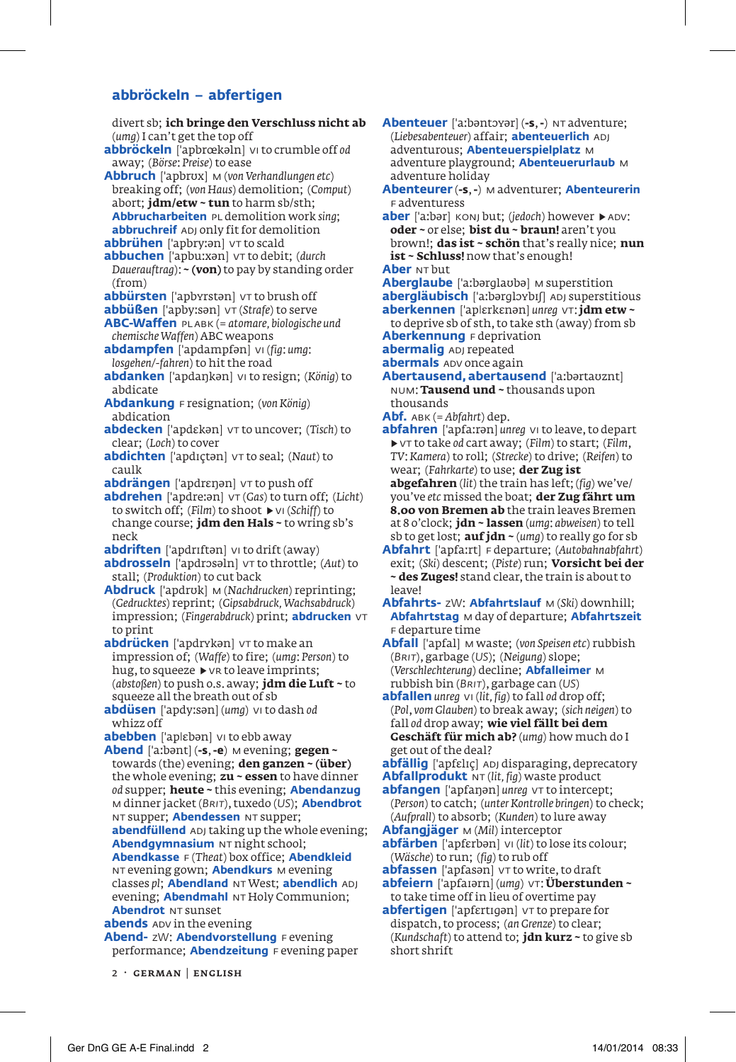## **abbröckeln – abfertigen**

divert sb; **ich bringe den Verschluss nicht ab** (*umg*) I can't get the top off **abbröckeln** [apbr
kəln] vi to crumble off *od* away; (*Börse*: *Preise*) to ease **Abbruch** [apbrυx] m (*von Verhandlungen etc*) breaking off; (*von Haus*) demolition; (*Comput*) abort; **jdm/etw ~ tun** to harm sb/sth; **Abbrucharbeiten** pl demolition work *sing*; **abbruchreif** ADJ only fit for demolition abbrühen ['apbry:an] vt to scald abbuchen ['apbu:xən] vt to debit; (durch *Dauerauftrag*): **~ (von)** to pay by standing order (from) **abbürsten** ['apbyrstan] vt to brush off **abbüßen** ['apby:sən] vt (*Strafe*) to serve **ABC-Waffen** pl abk (= *atomare, biologische und chemische Waffen*) ABC weapons **abdampfen** [apdampfən] vi (*fig*: *umg*: *losgehen/-fahren*) to hit the road **abdanken** [apdaŋkən] vi to resign; (*König*) to abdicate **Abdankung** f resignation; (*von König*) abdication **abdecken** ['apdεkən] ντ to uncover; (Tisch) to clear; (*Loch*) to cover **abdichten** ['apdictan]  $VT$  to seal; (*Naut*) to caulk **abdrängen** ['apdrɛŋən] vt to push off abdrehen ['apdre:ən]  $vr(Gas)$  to turn off; (*Licht*) to switch off; (*Film*) to shoot ▶ vi (*Schiff*) to change course; **jdm den Hals ~** to wring sb's neck **abdriften** ['apdriftan] vi to drift (away) **abdrosseln** [apdrosəln]  $\vee$ T to throttle; (*Aut*) to stall; (*Produktion*) to cut back **Abdruck** [apdrυk] m (*Nachdrucken*) reprinting; (*Gedrucktes*) reprint; (*Gipsabdruck, Wachsabdruck*) impression; (*Fingerabdruck*) print; **abdrucken** vt to print **abdrücken** ['apdrykən] vt to make an impression of; (*Waffe*) to fire; (*umg*: *Person*) to hug, to squeeze ▶ vr to leave imprints; (*abstoßen*) to push o.s. away; **jdm die Luft ~** to squeeze all the breath out of sb **abdüsen** [apdy-sən] (*umg*) vi to dash *od* whizz off **abebben** ['aplɛbən] vi to ebb away **Abend** [a-bənt] (**-s**, **-e**) m evening; **gegen ~** towards (the) evening; **den ganzen ~ (über)** the whole evening; **zu ~ essen** to have dinner *od* supper; **heute ~** this evening; **Abendanzug** m dinner jacket (*Brit*), tuxedo (*US*); **Abendbrot** nt supper; **Abendessen** nt supper; **abendfüllend** ADJ taking up the whole evening; **Abendqymnasium** NT night school; **Abendkasse** f (*Theat*) box office; **Abendkleid** nt evening gown; **Abendkurs** m evening classes *pl*; **Abendland** nt West; **abendlich** adj evening; **Abendmahl** NT Holy Communion; **Abendrot** NT sunset **abends** ADV in the evening **Abend-** zW: **Abendvorstellung** F evening performance; **Abendzeitung** F evening paper

2 · german | english

**Abenteuer** ['a:bəntɔyər] (-s, -) NT adventure; (*Liebesabenteuer*) affair; **abenteuerlich** adj adventurous; **Abenteuerspielplatz** m adventure playground; **Abenteuerurlaub** m adventure holiday **Abenteurer** (**-s**, **-**) m adventurer; **Abenteurerin** f adventuress aber ['aːbər] konj but; (*jedoch*) however ▶ ADV: **oder ~** or else; **bist du ~ braun!** aren't you brown!; **das ist ~ schön** that's really nice; **nun ist ~ Schluss!** now that's enough! **Aber** NT but

- **Aberglaube** ['a:bərglaubə] m superstition abergläubisch ['aːbərglɔybɪʃ] ADJ superstitious **aberkennen** ['aplɛrkɛnən] *unreq* vT; **jdm etw ~**
- to deprive sb of sth, to take sth (away) from sb **Aberkennung** F deprivation
- **abermaliq** ADJ repeated
- **abermals** ADV once again

**Abertausend, abertausend** ['a:bərtavznt] num: **Tausend und ~** thousands upon thousands

- **Abf.** abk (= *Abfahrt*) dep.
- abfahren ['apfa:rən] *unreg* vi to leave, to depart ▶ vt to take *od* cart away; (*Film*) to start; (*Film*, *TV*: *Kamera*) to roll; (*Strecke*) to drive; (*Reifen*) to wear; (*Fahrkarte*) to use; **der Zug ist abgefahren** (*lit*) the train has left; (*fig*) we've/

you've *etc* missed the boat; **der Zug fährt um 8.00 von Bremen ab** the train leaves Bremen at 8 o'clock; **jdn ~ lassen** (*umg*: *abweisen*) to tell sb to get lost; **auf jdn ~** (*umg*) to really go for sb

Abfahrt ['apfa:rt] F departure; (Autobahnabfahrt) exit; (*Ski*) descent; (*Piste*) run; **Vorsicht bei der ~ des Zuges!** stand clear, the train is about to leavel

**Abfahrts-** zW: **Abfahrtslauf** m (*Ski*) downhill; **Abfahrtstag** m day of departure; **Abfahrtszeit** f departure time

**Abfall** ['apfal] M waste; (von Speisen etc) rubbish (*Brit*), garbage (*US*); (*Neigung*) slope; (*Verschlechterung*) decline; **Abfalleimer** m rubbish bin (*Brit*), garbage can (*US*)

**abfallen** *unreg* vi (*lit, fig*) to fall *od* drop off; (*Pol*, *vom Glauben*) to break away; (*sich neigen*) to fall *od* drop away; **wie viel fällt bei dem Geschäft für mich ab?** (*umg*) how much do I get out of the deal?

**abfällig** ['apfɛlɪç] ADJ disparaging, deprecatory **Abfallprodukt** nt (*lit, fig*) waste product

**abfangen** ['apfaŋən] *unreg* vt to intercept; (*Person*) to catch; (*unter Kontrolle bringen*) to check; (*Aufprall*) to absorb; (*Kunden*) to lure away

- **Abfangjäger** m (*Mil*) interceptor
- **abfärben** [apfεrbən] vi (*lit*) to lose its colour; (*Wäsche*) to run; (*fig*) to rub off
- **abfassen** ['apfasən] vt to write, to draft **abfeiern** ['apfaiərn] (*umq*)  $\vee$ T: **Überstunden** ~ to take time off in lieu of overtime pay

**abfertigen** ['apfɛrtɪɡən] vT to prepare for dispatch, to process; (*an Grenze*) to clear; (*Kundschaft*) to attend to; **jdn kurz ~** to give sb short shrift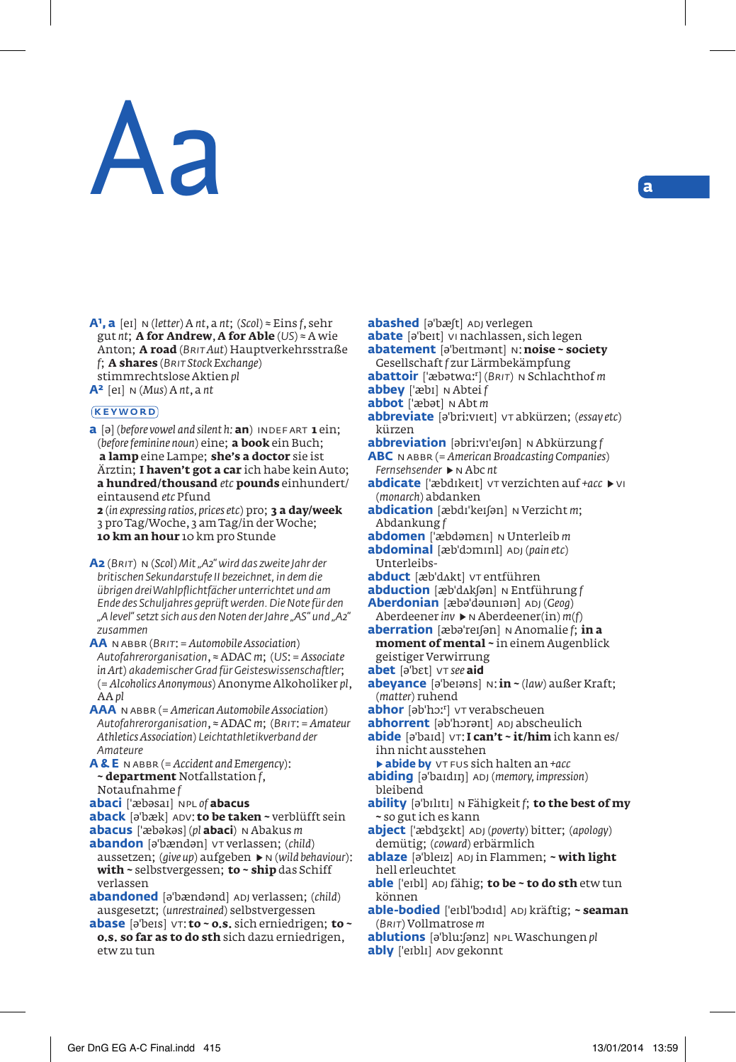# Aa **<sup>a</sup>**

**A1, a** [ei] n (*letter*) A *nt*, a *nt*; (*Scol*) ≈ Eins *f*, sehr gut *nt*; **A for Andrew**, **A for Able** (*US*) ≈ A wie Anton; **A road** (*Brit Aut*) Hauptverkehrsstraße *f*; **A shares** (*Brit Stock Exchange*) stimmrechtslose Aktien *pl* **A2** [ei] n (*Mus*) A *nt*, a *nt*

## **KEYWORD**

**a** [ə] (*before vowel and silent h*; **an**) INDEFART **1** ein; (*before feminine noun*) eine; **a book** ein Buch; **a lamp** eine Lampe; **she's a doctor** sie ist Ärztin; **I haven't got a car** ich habe kein Auto; **a hundred/thousand** *etc* **pounds** einhundert/ eintausend *etc* Pfund

**2** (*in expressing ratios, prices etc*) pro; **3 a day/week** 3 pro Tag/Woche, 3 am Tag/in der Woche; **10 km an hour** 10 km pro Stunde

**A2** (*Brit*) n (*Scol*) *Mit "A2" wird das zweite Jahr der britischen Sekundarstufe II bezeichnet, in dem die übrigen drei Wahlpflichtfächer unterrichtet und am Ende des Schuljahres geprüft werden. Die Note für den "A level" setzt sich aus den Noten der Jahre "AS" und "A2" zusammen*

**AA** n abbr (*Brit*: = *Automobile Association*) *Autofahrerorganisation*, ≈ ADAC *m*; (*US*: = *Associate in Art*) *akademischer Grad für Geisteswissenschaftler*; (= *Alcoholics Anonymous*) Anonyme Alkoholiker *pl*, AA *pl*

- **AAA** n abbr (= *American Automobile Association*) *Autofahrerorganisation*, ≈ ADAC *m*; (*Brit*: = *Amateur Athletics Association*) *Leichtathletikverband der Amateure*
- **A & E** n abbr (= *Accident and Emergency*): **~ department** Notfallstation *f*,

### Notaufnahme *f*

- **abaci** [bəsai] npl *of* **abacus**
- **aback** [ə'bæk] ADV: to be taken ~ verblüfft sein
- **abacus** ['æbəkəs] (pl **abaci**) N Abakus *m*
- **abandon** [ə'bændən] vt verlassen; (child) aussetzen; (*give up*) aufgeben ▶ n (*wild behaviour*): **with ~** selbstvergessen; **to ~ ship** das Schiff verlassen
- abandoned [ə<sup>'</sup>bændənd] ADJ verlassen; (*child*) ausgesetzt; (*unrestrained*) selbstvergessen
- **abase** [ə'beis]  $VT$ **: to ~ o.s.** sich erniedrigen; **to ~ o.s. so far as to do sth** sich dazu erniedrigen, etw zu tun
- **abashed** [ə'bæft] ADJ verlegen
- **abate** [ə'beit] vi nachlassen, sich legen
- **abatement** [əbeitmənt] n: **noise ~ society**

Gesellschaft *f* zur Lärmbekämpfung **abattoir** [bətwɑ-] (*Brit*) n Schlachthof *m*

- **abbey** ['æbɪ] **N** Abtei *f*
- **abbot** ['æbət]  $N$  Abt *m*
- **abbreviate** [əbrivieit] vt abkürzen; (*essay etc*) kürzen
- **abbreviation** [əbrivieiʃən] n Abkürzung *f*

**ABC** n abbr (= *American Broadcasting Companies*) *Fernsehsender* ▶ n Abc *nt*

- **abdicate** ['æbdɪkeɪt] vt verzichten auf *+acc* ▶ vi (*monarch*) abdanken
- **abdication** [æbdɪ'keɪ[ən] N Verzicht *m*; Abdankung *f*
- **abdomen** ['æbdəmεn] N Unterleib *m* **abdominal** [æb'dominl] ADJ (*pain etc*)
- Unterleibs**abduct** [æb'dAkt] vt entführen
- **abduction** [æb'dʌkʃən] N Entführung *f*
- **Aberdonian** [æbəˈdəunɪən] ADJ (*Geog*)
- Aberdeener *inv* ▶ n Aberdeener(in) *m*(*f*) **aberration** [æbəˈreɪʃən] N Anomalie *f*; in a
- **moment of mental ~** in einem Augenblick geistiger Verwirrung
- **abet** [ə'bɛt]  $\vee$ T *see* aid
- **abeyance** [əbeiəns] n: **in ~** (*law*) außer Kraft; (*matter*) ruhend
- abhor [əb'hɔː<sup>r</sup>] vt verabscheuen
- **abhorrent** [əb'hɔrənt] ADJ abscheulich
- **abide** [əbaid] vt: **I can't ~ it/him** ich kann es/ ihn nicht ausstehen
	- ▶ **abide by** vt fus sich halten an *+acc*
- **abiding** [əbaidiŋ] adj (*memory, impression*) bleibend
- **ability** [əbiliti] n Fähigkeit *f*; **to the best of my ~** so gut ich es kann
- **abject** ['æbdʒεkt] ADJ (*poverty*) bitter; (*apology*) demütig; (*coward*) erbärmlich
- **ablaze** [əbleiz] adj in Flammen; **~ with light** hell erleuchtet
- able ['eɪbl] ADJ fähig; to be ~ to do sth etw tun können
- able-bodied ['eɪbl'bɔdɪd] ADJ kräftig; ~ seaman (*Brit*) Vollmatrose *m*
- **ablutions** [əbluʃənz] npl Waschungen *pl*
- **ably** ['eibli] ADV gekonnt